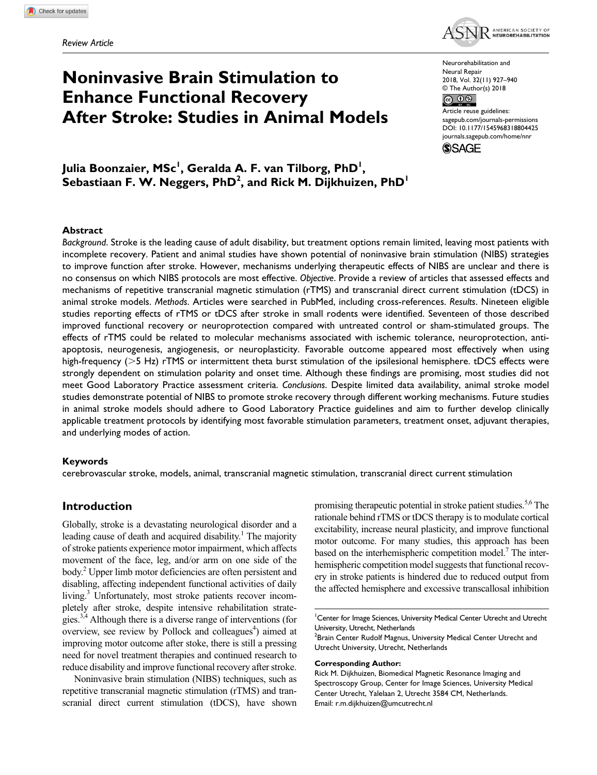

# **Noninvasive Brain Stimulation to Enhance Functional Recovery After Stroke: Studies in Animal Models**

Neurorehabilitation and Neural Repair 2018, Vol. 32(11) 927–940 © The Author(s) 2018

 $\circledcirc$ Article reuse guidelines: [sagepub.com/journals-permissions](https://us.sagepub.com/en-us/journals-permissions) https://doi.org/10.1177/1545968318804425 DOI: 10.1177/1545968318804425 [journals.sagepub.com/home/nnr](https://journals.sagepub.com/home/nnr)

**SSAGE** 

Julia Boonzaier, MSc<sup>I</sup>, Geralda A. F. van Tilborg, PhD<sup>I</sup>,  $\overline{\textbf{S}}$ ebastiaan F. W. Neggers, PhD<sup>2</sup>, and Rick M. Dijkhuizen, PhD<sup>1</sup>

#### **Abstract**

*Background*. Stroke is the leading cause of adult disability, but treatment options remain limited, leaving most patients with incomplete recovery. Patient and animal studies have shown potential of noninvasive brain stimulation (NIBS) strategies to improve function after stroke. However, mechanisms underlying therapeutic effects of NIBS are unclear and there is no consensus on which NIBS protocols are most effective. *Objective*. Provide a review of articles that assessed effects and mechanisms of repetitive transcranial magnetic stimulation (rTMS) and transcranial direct current stimulation (tDCS) in animal stroke models. *Methods*. Articles were searched in PubMed, including cross-references. *Results*. Nineteen eligible studies reporting effects of rTMS or tDCS after stroke in small rodents were identified. Seventeen of those described improved functional recovery or neuroprotection compared with untreated control or sham-stimulated groups. The effects of rTMS could be related to molecular mechanisms associated with ischemic tolerance, neuroprotection, antiapoptosis, neurogenesis, angiogenesis, or neuroplasticity. Favorable outcome appeared most effectively when using high-frequency (>5 Hz) rTMS or intermittent theta burst stimulation of the ipsilesional hemisphere. tDCS effects were strongly dependent on stimulation polarity and onset time. Although these findings are promising, most studies did not meet Good Laboratory Practice assessment criteria. *Conclusions*. Despite limited data availability, animal stroke model studies demonstrate potential of NIBS to promote stroke recovery through different working mechanisms. Future studies in animal stroke models should adhere to Good Laboratory Practice guidelines and aim to further develop clinically applicable treatment protocols by identifying most favorable stimulation parameters, treatment onset, adjuvant therapies, and underlying modes of action.

#### **Keywords**

cerebrovascular stroke, models, animal, transcranial magnetic stimulation, transcranial direct current stimulation

## **Introduction**

Globally, stroke is a devastating neurological disorder and a leading cause of death and acquired disability.<sup>1</sup> The majority of stroke patients experience motor impairment, which affects movement of the face, leg, and/or arm on one side of the body.<sup>2</sup> Upper limb motor deficiencies are often persistent and disabling, affecting independent functional activities of daily living.<sup>3</sup> Unfortunately, most stroke patients recover incompletely after stroke, despite intensive rehabilitation strategies.<sup>3,4</sup> Although there is a diverse range of interventions (for overview, see review by Pollock and colleagues<sup>4</sup>) aimed at improving motor outcome after stoke, there is still a pressing need for novel treatment therapies and continued research to reduce disability and improve functional recovery after stroke.

Noninvasive brain stimulation (NIBS) techniques, such as repetitive transcranial magnetic stimulation (rTMS) and transcranial direct current stimulation (tDCS), have shown promising therapeutic potential in stroke patient studies.<sup>5,6</sup> The rationale behind rTMS or tDCS therapy is to modulate cortical excitability, increase neural plasticity, and improve functional motor outcome. For many studies, this approach has been based on the interhemispheric competition model.<sup>7</sup> The interhemispheric competition model suggests that functional recovery in stroke patients is hindered due to reduced output from the affected hemisphere and excessive transcallosal inhibition

<sup>1</sup> Center for Image Sciences, University Medical Center Utrecht and Utrecht University, Utrecht, Netherlands

 $^2$ Brain Center Rudolf Magnus, University Medical Center Utrecht and Utrecht University, Utrecht, Netherlands

#### **Corresponding Author:**

Rick M. Dijkhuizen, Biomedical Magnetic Resonance Imaging and Spectroscopy Group, Center for Image Sciences, University Medical Center Utrecht, Yalelaan 2, Utrecht 3584 CM, Netherlands. Email: [r.m.dijkhuizen@umcutrecht.nl](mailto:r.m.dijkhuizen@umcutrecht.nl)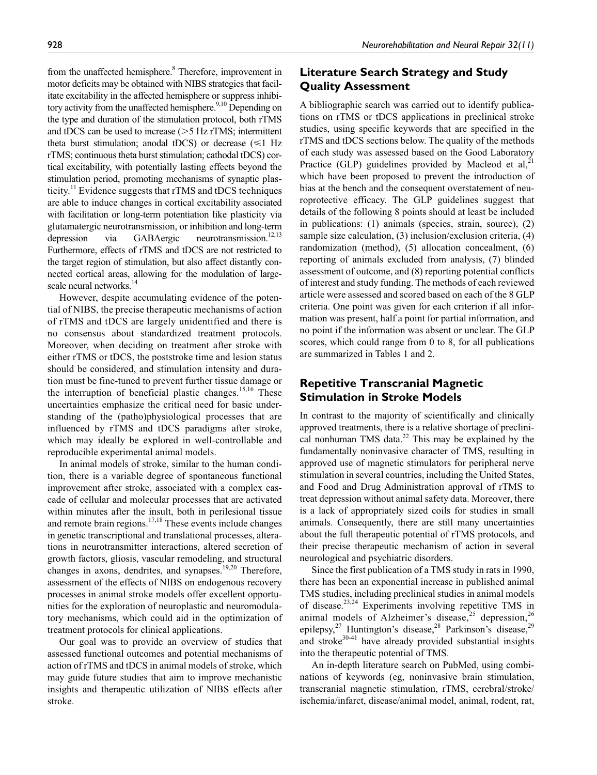from the unaffected hemisphere.<sup>8</sup> Therefore, improvement in motor deficits may be obtained with NIBS strategies that facilitate excitability in the affected hemisphere or suppress inhibitory activity from the unaffected hemisphere.<sup>9,10</sup> Depending on the type and duration of the stimulation protocol, both rTMS and tDCS can be used to increase  $(>=5$  Hz rTMS; intermittent theta burst stimulation; anodal tDCS) or decrease  $(\leq 1$  Hz rTMS; continuous theta burst stimulation; cathodal tDCS) cortical excitability, with potentially lasting effects beyond the stimulation period, promoting mechanisms of synaptic plasticity.<sup>11</sup> Evidence suggests that rTMS and tDCS techniques are able to induce changes in cortical excitability associated with facilitation or long-term potentiation like plasticity via glutamatergic neurotransmission, or inhibition and long-term depression via GABAergic neurotransmission.<sup>12,13</sup> Furthermore, effects of rTMS and tDCS are not restricted to the target region of stimulation, but also affect distantly connected cortical areas, allowing for the modulation of largescale neural networks.<sup>14</sup>

However, despite accumulating evidence of the potential of NIBS, the precise therapeutic mechanisms of action of rTMS and tDCS are largely unidentified and there is no consensus about standardized treatment protocols. Moreover, when deciding on treatment after stroke with either rTMS or tDCS, the poststroke time and lesion status should be considered, and stimulation intensity and duration must be fine-tuned to prevent further tissue damage or the interruption of beneficial plastic changes.<sup>15,16</sup> These uncertainties emphasize the critical need for basic understanding of the (patho)physiological processes that are influenced by rTMS and tDCS paradigms after stroke, which may ideally be explored in well-controllable and reproducible experimental animal models.

In animal models of stroke, similar to the human condition, there is a variable degree of spontaneous functional improvement after stroke, associated with a complex cascade of cellular and molecular processes that are activated within minutes after the insult, both in perilesional tissue and remote brain regions.<sup>17,18</sup> These events include changes in genetic transcriptional and translational processes, alterations in neurotransmitter interactions, altered secretion of growth factors, gliosis, vascular remodeling, and structural changes in axons, dendrites, and synapses.<sup>19,20</sup> Therefore, assessment of the effects of NIBS on endogenous recovery processes in animal stroke models offer excellent opportunities for the exploration of neuroplastic and neuromodulatory mechanisms, which could aid in the optimization of treatment protocols for clinical applications.

Our goal was to provide an overview of studies that assessed functional outcomes and potential mechanisms of action of rTMS and tDCS in animal models of stroke, which may guide future studies that aim to improve mechanistic insights and therapeutic utilization of NIBS effects after stroke.

# **Literature Search Strategy and Study Quality Assessment**

A bibliographic search was carried out to identify publications on rTMS or tDCS applications in preclinical stroke studies, using specific keywords that are specified in the rTMS and tDCS sections below. The quality of the methods of each study was assessed based on the Good Laboratory Practice (GLP) guidelines provided by Macleod et al,<sup>21</sup> which have been proposed to prevent the introduction of bias at the bench and the consequent overstatement of neuroprotective efficacy. The GLP guidelines suggest that details of the following 8 points should at least be included in publications: (1) animals (species, strain, source), (2) sample size calculation, (3) inclusion/exclusion criteria, (4) randomization (method), (5) allocation concealment, (6) reporting of animals excluded from analysis, (7) blinded assessment of outcome, and (8) reporting potential conflicts of interest and study funding. The methods of each reviewed article were assessed and scored based on each of the 8 GLP criteria. One point was given for each criterion if all information was present, half a point for partial information, and no point if the information was absent or unclear. The GLP scores, which could range from 0 to 8, for all publications are summarized in Tables 1 and 2.

# **Repetitive Transcranial Magnetic Stimulation in Stroke Models**

In contrast to the majority of scientifically and clinically approved treatments, there is a relative shortage of preclinical nonhuman TMS data. $22$  This may be explained by the fundamentally noninvasive character of TMS, resulting in approved use of magnetic stimulators for peripheral nerve stimulation in several countries, including the United States, and Food and Drug Administration approval of rTMS to treat depression without animal safety data. Moreover, there is a lack of appropriately sized coils for studies in small animals. Consequently, there are still many uncertainties about the full therapeutic potential of rTMS protocols, and their precise therapeutic mechanism of action in several neurological and psychiatric disorders.

Since the first publication of a TMS study in rats in 1990, there has been an exponential increase in published animal TMS studies, including preclinical studies in animal models of disease.<sup>23,24</sup> Experiments involving repetitive TMS in animal models of Alzheimer's disease,<sup>25</sup> depression,<sup>26</sup> epilepsy,<sup>27</sup> Huntington's disease,<sup>28</sup> Parkinson's disease,<sup>29</sup> and stroke $30-41$  have already provided substantial insights into the therapeutic potential of TMS.

An in-depth literature search on PubMed, using combinations of keywords (eg, noninvasive brain stimulation, transcranial magnetic stimulation, rTMS, cerebral/stroke/ ischemia/infarct, disease/animal model, animal, rodent, rat,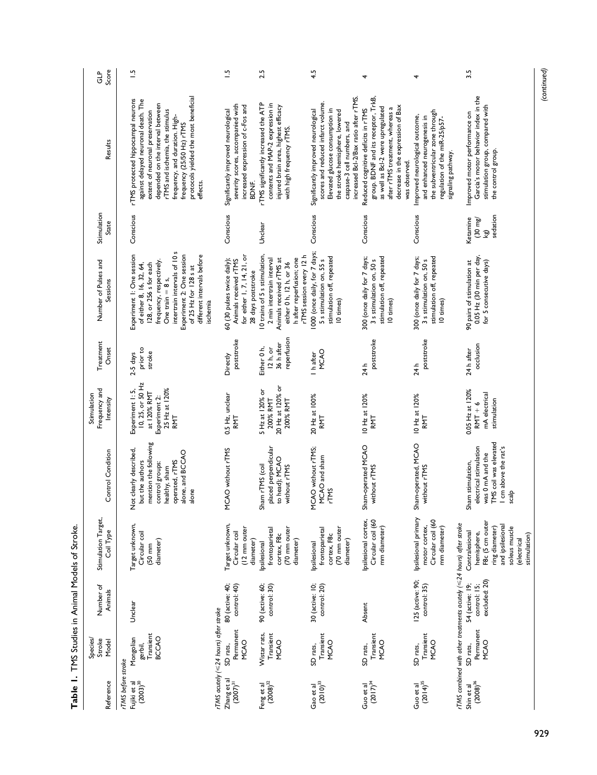| Score<br><u>ਚ</u> ਿ                       | $\frac{1}{2}$                                                                                                                                                                                                                                                                                           | $\frac{1}{2}$                                                                                                          | 2.5                                                                                                                                                                     | 4.5                                                                                                                                                                                                                    |                                                                                                                                                                                                         |                                                                                                                                                          | 3.5                                                                                                                                                                                                                   |
|-------------------------------------------|---------------------------------------------------------------------------------------------------------------------------------------------------------------------------------------------------------------------------------------------------------------------------------------------------------|------------------------------------------------------------------------------------------------------------------------|-------------------------------------------------------------------------------------------------------------------------------------------------------------------------|------------------------------------------------------------------------------------------------------------------------------------------------------------------------------------------------------------------------|---------------------------------------------------------------------------------------------------------------------------------------------------------------------------------------------------------|----------------------------------------------------------------------------------------------------------------------------------------------------------|-----------------------------------------------------------------------------------------------------------------------------------------------------------------------------------------------------------------------|
| Results                                   | protocols yielded the most beneficial<br>rTMS protected hippocampal neurons<br>against delayed neuronal death. The<br>depended on the interval between<br>extent of neuronal preservation<br>rTMS and ischemia, the stimulus<br>frequency, and duration. High-<br>frequency (25/50 Hz) rTMS<br>effects. | severity scores, accompanied with<br>increased expression of c-Fos and<br>Significantly improved neurological<br>BDNF. | rTMS significantly increased the ATP<br>contents and MAP-2 expression in<br>injured brain area, highest efficacy<br>with high frequency rTMS.                           | increased Bcl-2/Bax ratio after rTMS.<br>scores and reduced infarct volume.<br>Elevated glucose consumption in<br>Significantly improved neurological<br>the stroke hemisphere, lowered<br>caspase-3 cell numbers, and | group. BDNF and its receptor, TrkB,<br>decrease in the expression of Bax<br>as well as Bcl-2 were upregulated<br>after rTMS treatment, whereas a<br>Reduced cognitive deficits in rTMS<br>was observed. | the subventricular zone through<br>Improved neurological outcome,<br>and enhanced neurogenesis in<br>regulation of the miR-25/p57-<br>signaling pathway. | Garcia's motor behavior index in the<br>stimulation group, compared with<br>Improved motor performance on<br>the control group.                                                                                       |
| Stimulation<br>State                      | Conscious                                                                                                                                                                                                                                                                                               | Conscious                                                                                                              | Unclear                                                                                                                                                                 | Conscious                                                                                                                                                                                                              | Conscious                                                                                                                                                                                               | Conscious                                                                                                                                                | sedation<br>Ketamine<br>$(30 \text{ mg})$<br>kg)                                                                                                                                                                      |
| Number of Pulses and<br>Sessions          | intertrain intervals of 10 s<br>Experiment 2: One session<br>Experiment I: One session<br>different intervals before<br>frequency, respectively.<br>of either 8, 16, 32, 64,<br>128, or 256 s for each<br>of 25 Hz for 128 s at<br>One train $= 8$ s,<br>ischemia                                       | for either 1, 7, 14, 21, or<br>60 (30 pulses twice daily);<br>Animals received rTMS<br>28 days poststroke              | 10 trains of 5 s stimulation,<br>rTMS session every 12h<br>h after reperfusion; one<br>Animals received rTMS at<br>2 min intertrain interval<br>either 0 h, 12 h, or 36 | 000 (once daily, for 7 days;<br>stimulation off, repeated<br>5 s stimulation on, 55 s<br>10 times)                                                                                                                     | 300 (once daily for 7 days;<br>stimulation off, repeated<br>3 s stimulation on, 50 s<br>10 times)                                                                                                       | 300 (once daily for 7 days;<br>stimulation off, repeated<br>3 s stimulation on, 50 s<br>10 times)                                                        | 0.05 Hz (30 min per day,<br>for 5 consecutive days)<br>90 pairs of stimulation at                                                                                                                                     |
| Treatment<br>Onset                        | prior to<br>stroke<br>$2-5$ days                                                                                                                                                                                                                                                                        | poststroke<br>Directly                                                                                                 | reperfusion<br>36 h after<br>Either 0 h,<br>12 h, or                                                                                                                    | <b>MCAO</b><br>I h after                                                                                                                                                                                               | poststroke<br>24 h                                                                                                                                                                                      | poststroke<br>24 h                                                                                                                                       | occlusion<br>24 h after                                                                                                                                                                                               |
| Frequency and<br>Stimulation<br>Intensity | 10, 25, or 50 Hz<br>25 Hz at 120%<br>Experiment I: 5,<br>at 120% RMT<br>Experiment 2:<br>RMT                                                                                                                                                                                                            | 0.5 Hz, unclear<br>RMT                                                                                                 | 20 Hz at 120% or<br>5 Hz at 120% or<br>200% RMT<br>200% RMT                                                                                                             | 20 Hz at 100%<br>RMT                                                                                                                                                                                                   | 10 Hz at 120%<br>RMT                                                                                                                                                                                    | 10 Hz at 120%<br>RMT                                                                                                                                     | 0.05 Hz at 120%<br>mA electrical<br>stimulation<br>$RMT + 6$                                                                                                                                                          |
| Control Condition                         | mention the following<br>Not clearly described,<br>alone, and BCCAO<br>operated, rTMS<br>but the authors<br>control groups:<br>healthy, sham<br>alone                                                                                                                                                   | MCAO without rTMS                                                                                                      | placed perpendicular<br>to head); MCAO<br>Sham rTMS (coil<br>without rTMS                                                                                               | MCAO without rTMS;<br>MCAO and sham<br><b>rTMS</b>                                                                                                                                                                     | Sham-operated MCAO<br>without rTMS                                                                                                                                                                      | Sham-operated, MCAO<br>without rTMS                                                                                                                      | TMS coil was elevated<br>electrical stimulation<br>I cm above the rat's<br>was 0 mA and the<br>Sham stimulation,<br>scalp                                                                                             |
| Stimulation Target,<br>Coil Type          | Target unknown,<br>Circular coil<br>diameter)<br>$(50 \text{ mm})$                                                                                                                                                                                                                                      | Target unknown,<br>(12 mm outer<br>Circular coil<br>diameter)                                                          | (70 mm outer<br>frontoparietal<br>cortex, F8c<br>diameter)<br>psilesional                                                                                               | (70 mm outer<br>frontoparietal<br>cortex, F8c<br>diameter)<br><b>psilesional</b>                                                                                                                                       | psilesional cortex,<br>Circular coil (60<br>mm diameter)                                                                                                                                                | psilesional primary<br>Circular coil (60<br>motor cortex,<br>mm diameter)                                                                                | F8c (5 cm outer<br>rTMS combined with other treatments acutely ( $\leq$ 24 hours) after stroke<br>and ipsilesional<br>ring diameter)<br>soleus muscle<br>Contralesional<br>hemisphere,<br>stimulation)<br>(electrical |
| Number of<br>Animals                      | Unclear                                                                                                                                                                                                                                                                                                 | 80 (active: 40;<br>control: 40)                                                                                        | 90 (active: 60;<br>control: 30)                                                                                                                                         | 30 (active: 10;<br>control: 20)                                                                                                                                                                                        | Absent                                                                                                                                                                                                  | 125 (active: 90;<br>control: 35)                                                                                                                         | excluded: 20)<br>54 (active: 19;<br>control: 15;                                                                                                                                                                      |
| Species/<br>Stroke<br>Model               | Transient<br><b>BCCAO</b><br>Mongolian<br>gerbil,                                                                                                                                                                                                                                                       | rTMS acutely (≤24 hours) after stroke<br>Permanent<br>MCAO<br>SD rats,                                                 | Wistar rats,<br>Transient<br><b>MCAO</b>                                                                                                                                | Transient<br>MCAO<br>SD rats,                                                                                                                                                                                          | Transient<br>MCAO<br>SD rats,                                                                                                                                                                           | Transient<br><b>MCAO</b><br>SD rats,                                                                                                                     | Permanent<br>MCAO<br>SD rats,                                                                                                                                                                                         |
| Reference                                 | rTMS before stroke<br>Fujiki et al<br>(2003) <sup>30</sup>                                                                                                                                                                                                                                              | Zhang et al<br>$(2007)^{31}$                                                                                           | $\left(2008\right)^{32}$<br>Feng et al                                                                                                                                  | Gao et al $(2010)^{33}$                                                                                                                                                                                                | $(2017)^{34}$<br>Guo et al                                                                                                                                                                              | $(2014)^{35}$<br>Guo et al                                                                                                                               | Shin et al<br>$(2008)^{36}$                                                                                                                                                                                           |

Table 1. TMS Studies in Animal Models of Stroke. **Table 1.** TMS Studies in Animal Models of Stroke.

*(continued)*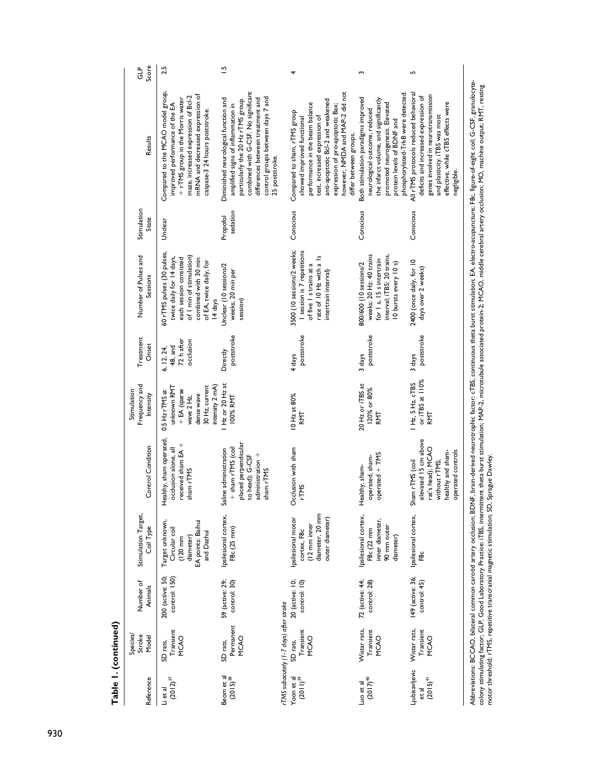| Score<br>GLP                              | 2.5                                                                                                                                                                                                                 | 51                                                                                                                                                                                                                                                 |                                                                                                                                                                                                                                                                      | S                                                                                                                                                                                                                    | Ln                                                                                                                                                                                                         |
|-------------------------------------------|---------------------------------------------------------------------------------------------------------------------------------------------------------------------------------------------------------------------|----------------------------------------------------------------------------------------------------------------------------------------------------------------------------------------------------------------------------------------------------|----------------------------------------------------------------------------------------------------------------------------------------------------------------------------------------------------------------------------------------------------------------------|----------------------------------------------------------------------------------------------------------------------------------------------------------------------------------------------------------------------|------------------------------------------------------------------------------------------------------------------------------------------------------------------------------------------------------------|
| Results                                   | Compared to the MCAO model group,<br>mRNA and decreased expression of<br>maze, increased expression of Bcl-2<br>+ rTMS group in the Morris water<br>improved performance of the EA<br>caspase-3 24 hours poststroke | combined with G-CSF. No significant<br>control groups between days 7 and<br>differences between treatment and<br>Diminished neurological function and<br>particularly the 20 Hz rTMS group<br>amplified signs of inflammation in<br>25 poststroke. | however, NMDA and MAP-2 did not<br>anti-apoptotic Bcl-2 and weakened<br>performance in the beam balance<br>expression of pro-apoptotic Bax;<br>Compared to sham, rTMS group<br>test, increased expression of<br>showed improved functional<br>differ between groups. | phosphorylated-TrkB were detected.<br>Both stimulation paradigms improved<br>the infarct volume, and significantly<br>promoted neurogenesis. Elevated<br>neurological outcome, reduced<br>protein levels of BDNF and | All rTMS protocols reduced behavioral<br>genes involved in neurotransmission<br>deficits and increased expression of<br>effective, while cTBS effects were<br>and plasticity. iTBS was most<br>negligible. |
| Stimulation<br>State                      | Unclear                                                                                                                                                                                                             | sedation<br>Propofol                                                                                                                                                                                                                               | Conscious                                                                                                                                                                                                                                                            | Conscious                                                                                                                                                                                                            | Conscious                                                                                                                                                                                                  |
| Number of Pulses and<br>Sessions          | 60 rTMS pulses (30 pulses,<br>of I min of stimulation)<br>twice daily for 14 days,<br>each session consisted<br>combined with 30 min<br>of EA, twice daily, for<br>14 days                                          | Unclear (10 sessions/2<br>weeks; 20 min per<br>session)                                                                                                                                                                                            | 3500 (10 sessions/2 weeks;<br>I session is 7 repetitions<br>rate of 10 Hz with a 1s<br>of five I s trains at a<br>intertrain interval                                                                                                                                | interval; iTBS: 20 trains,<br>weeks; 20 Hz: 40 trains<br>for 1 s, 15 s intertrain<br>800/600 (10 sessions/2<br>10 bursts every 10 s)                                                                                 | 2400 (once daily, for 10<br>days over 2 weeks)                                                                                                                                                             |
| Treatment<br>Onset                        | 72 h after<br>occlusion<br>48, and<br>6, 12, 24,                                                                                                                                                                    | poststroke<br>Directly                                                                                                                                                                                                                             | poststroke<br>4 days                                                                                                                                                                                                                                                 | poststroke<br>3 days                                                                                                                                                                                                 | poststroke<br>3 days                                                                                                                                                                                       |
| Frequency and<br>Stimulation<br>Intensity | intensity 2 mA)<br>30 Hz, current<br>unknown RMT<br>+ EA (sparse<br>$0.5$ Hz $rTMS$ at<br>dense wave<br>wave 2 Hz,                                                                                                  | Hz or 20 Hz at<br>100% RMT                                                                                                                                                                                                                         | 10 Hz at 80%<br>RMT                                                                                                                                                                                                                                                  | 20 Hz or iTBS at<br>120% or 80%<br>RMT                                                                                                                                                                               | or iTBS at $110%$<br>$Hz$ , $5Hz$ , $cTBS$<br>RMT                                                                                                                                                          |
| <b>Control Condition</b>                  | Healthy, sham operated<br>received sham EA +<br>occlusion alone, all<br>sham rTMS                                                                                                                                   | placed perpendicular<br>+ sham rTMS (coil<br>Saline administration<br>administration +<br>to head); G-CSF<br>sham rTMS                                                                                                                             | Occlusion with sham<br><b>PTMS</b>                                                                                                                                                                                                                                   | $operated + TMS$<br>operated, sham-<br>Healthy, sham-                                                                                                                                                                | elevated 15 cm above<br>rat's head); MCAO<br>operated controls<br>healthy and sham-<br>without rTMS;<br>Sham rTMS (coil                                                                                    |
| Stimulation Target,<br>Coil Type          | Target unknown,<br>EA points: Baihui<br>Circular coil<br>and Dazhui<br>diameter)<br>$(120 \text{ mm})$                                                                                                              | psilesional cortex,<br>F8c (25 mm)                                                                                                                                                                                                                 | diameter, 20 mm<br>Ipsilesional motor<br>outer diameter)<br>(12 mm inner<br>cortex, F8c                                                                                                                                                                              | psilesional cortex,<br>inner diameter,<br>90 mm outer<br>F8c (22 mm<br>diameter)                                                                                                                                     | Ipsilesional cortex,<br>F8c                                                                                                                                                                                |
| Number of<br>Animals                      | 200 (active: 50;<br>control: 150)                                                                                                                                                                                   | 59 (active: 29;<br>control: 30)                                                                                                                                                                                                                    | 20 (active: 10;<br>control: 10)                                                                                                                                                                                                                                      | 72 (active: 44;<br>control: 28)                                                                                                                                                                                      | 149 (active: 36;<br>control: 45)                                                                                                                                                                           |
| Species/<br>Stroke<br>Model               | Transient<br>MCAO<br>SD rats,                                                                                                                                                                                       | Permanent<br><b>MCAO</b><br>SD rats,                                                                                                                                                                                                               | rTMS subacutely (1-7 days) after stroke<br>Transient<br>MCAO<br>SD rats,                                                                                                                                                                                             | Wistar rats,<br>Transient<br><b>MCAO</b>                                                                                                                                                                             | Wistar rats,<br>Transient<br>MCAO                                                                                                                                                                          |
| Reference                                 | $(2012)^{37}$<br>Li et al                                                                                                                                                                                           | Beom et al<br>$(2015)^{38}$                                                                                                                                                                                                                        | Yoon et al<br>$(2011)^{39}$                                                                                                                                                                                                                                          | $(2017)^{40}$<br>Luo et al                                                                                                                                                                                           | Ljubisavljevic<br>$(2015)^{41}$<br>et al                                                                                                                                                                   |

colony stimulating factor; GLP, Good Laboratory Practice; iTBS, intermittent the burst stimulation; MAP2, intermination associated protein-2; MCAO, middle cerebral artery occlusion; MO, machine output; RMT; resting<br>motor t colony stimulating factor; GLP, Good Laboratory Practice; iTBS, intermittent theta burst stimulation; MAP-2, microtubule associated protein-2; MCAO, middle cerebral artery occlusion; MO, machine output; RMT, resting motor threshold; rTMS, repetitive transcranial magnetic stimulation; SD, Sprague Dawley.

Table I. (continued) **Table 1. (continued)**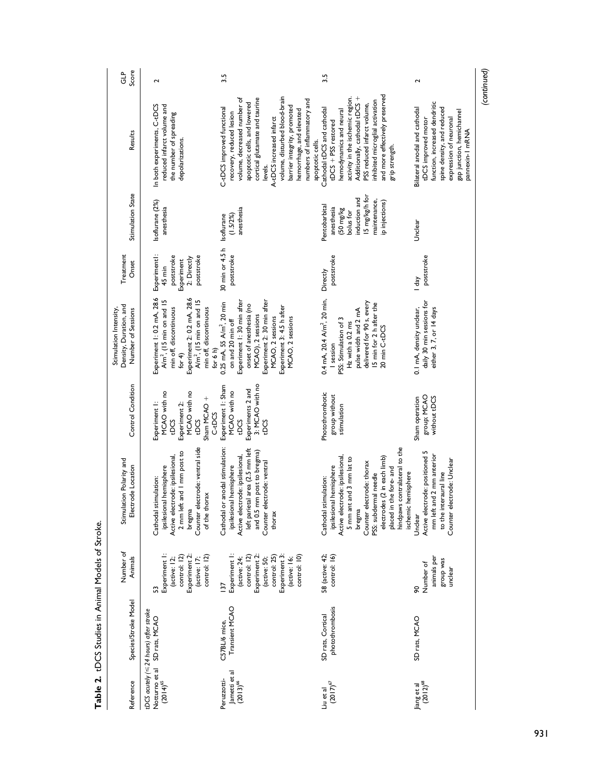| Score<br>ਹੈ।<br>ਹ                                                      | 2                                                                                                                                                                                                                   | 3.5                                                                                                                                                                                                                                                                                                                                           | 3.5                                                                                                                                                                                                                                                                                                 | 2                                                                                                                                                                                             |
|------------------------------------------------------------------------|---------------------------------------------------------------------------------------------------------------------------------------------------------------------------------------------------------------------|-----------------------------------------------------------------------------------------------------------------------------------------------------------------------------------------------------------------------------------------------------------------------------------------------------------------------------------------------|-----------------------------------------------------------------------------------------------------------------------------------------------------------------------------------------------------------------------------------------------------------------------------------------------------|-----------------------------------------------------------------------------------------------------------------------------------------------------------------------------------------------|
| Results                                                                | In both experiments, C-tDCS<br>reduced infarct volume and<br>the number of spreading<br>depolarizations.                                                                                                            | volume, disturbed blood-brain<br>cortical glutamate and taurine<br>volume, decreased number of<br>numbers of inflammatory and<br>apoptotic cells, and lowered<br>barrier integrity, promoted<br>C-tDCS improved functional<br>hemorrhage, and elevated<br>recovery, reduced lesion<br>A-tDCS increased infarct<br>apoptotic cells.<br>levels. | and more effectively preserved<br>Additionally, cathodal tDCS +<br>activity in the ischemic region.<br>inhibited microglial activation<br>PSS reduced infarct volume,<br>Cathodal tDCS and cathodal<br>hemodynamics and neural<br>$tDCS + PSS$ restored<br>grip strength.                           | function, increased dendritic<br>spine density, and reduced<br>Bilateral anodal and cathodal<br>gap junction, hemichannel<br>expression of neuronal<br>tDCS improved motor<br>pannexin-1 mRNA |
| Stimulation State                                                      | Isoflurane (2%)<br>anesthesia                                                                                                                                                                                       | anesthesia<br>(1.5/2%)<br>Isoflurane                                                                                                                                                                                                                                                                                                          | I5 mg/kg/h for<br>induction and<br>maintenance,<br>ip injections)<br>Pentobarbital<br>anesthesia<br>$(50 \text{ mg/kg})$<br>bolus for                                                                                                                                                               | Unclear                                                                                                                                                                                       |
| Treatment<br>Onset                                                     | Experiment!:<br>poststroke<br>poststroke<br>2: Directly<br>Experiment<br>45 min                                                                                                                                     | 30 min or 4.5 h<br>poststroke                                                                                                                                                                                                                                                                                                                 | poststroke<br>Directly                                                                                                                                                                                                                                                                              | poststroke<br>l day                                                                                                                                                                           |
| Density, Duration, and<br>Stimulation Intensity,<br>Number of Sessions | Experiment 1: 0.2 mA, 28.6<br>Experiment 2: 0.2 mA, 28.6<br>A/m <sup>2</sup> , (15 min on and 15<br>A/m <sup>2</sup> , (15 min on and 15<br>min off, discontinuous<br>min off, discontinuous<br>for 6 h)<br>for $4$ | Experiment 1: 30 min after<br>Experiment 2: 30 min after<br>$0.25$ mA, $55$ A/m <sup>2</sup> , 20 min<br>onset of anesthesia (no<br>Experiment 3: 4.5 h after<br>MCAO), 2 sessions<br>MCAO, 2 sessions<br>MCAO, 2 sessions<br>on and 20 min off                                                                                               | 0.4 mA, $20.4$ A/m <sup>2</sup> , $20$ min,<br>delivered for 90 s, every<br>15 min for 2 h after the<br>pulse width and 2 mA<br>PSS: Stimulation of 3<br>Hz with a 0.2 ms<br>20 min C-tDCS<br>I session                                                                                             | daily 30 min sessions for<br>0.1 mA, density unclear,<br>either 3, 7, or 14 days                                                                                                              |
| Control Condition                                                      | MCAO with no<br>MCAO with no<br>Sham MCAO +<br>Experiment I:<br>Experiment 2:<br>C-tDCS<br><b>tDCS</b><br>tDCS                                                                                                      | 3: MCAO with no<br>Experiment I: Sham<br>Experiments 2 and<br>MCAO with no<br><b>tDCS</b><br>tDCS                                                                                                                                                                                                                                             | Photothrombotic<br>group without<br>stimulation                                                                                                                                                                                                                                                     | group; MCAO<br>without tDCS<br>Sham operation                                                                                                                                                 |
| Stimulation Polarity and<br>Electrode Location                         | Counter electrode: ventral side<br>2 mm left and 1 mm post to<br>Active electrode: ipsilesional,<br>ipsilesional hemisphere<br>stimulation:<br>of the thorax<br>bregma<br>Cathodal                                  | or anodal stimulation:<br>left parietal area (2.5 mm left<br>and 0.5 mm post to bregma)<br>Active electrode: ipsilesional,<br>Counter electrode: ventral<br>ipsilesional hemisphere<br>Cathodal<br>thorax                                                                                                                                     | hindpaws contralateral to the<br>Active electrode: ipsilesional,<br>5 mm ant and 3 mm lat to<br>electrodes (2 in each limb)<br>Counter electrode: thorax<br>ipsilesional hemisphere<br>placed in the fore-and<br>ischemic hemisphere<br>PSS: subdermal needle<br>stimulation:<br>Cathodal<br>bregma | Active electrode: positioned 5<br>mm left and 2 mm anterior<br>electrode: Unclear<br>to the interaural line<br>Jnclear<br>Counter                                                             |
| Number of<br>Animals                                                   | Experiment I:<br>Experiment 2:<br>control: 12)<br>control: 12)<br>(active: 17;<br>(active: 12;<br>S                                                                                                                 | Experiment  <br>Experiment 3:<br>control: 10)<br>Experiment 2:<br>control: 25)<br>control: 12)<br>(active: 16;<br>(active: 50;<br>(active: 24;<br>$\overline{37}$                                                                                                                                                                             | 58 (active: 42;<br>control: 16)                                                                                                                                                                                                                                                                     | animals per<br>group was<br>Number of<br>unclear<br>œ                                                                                                                                         |
| Species/Stroke Model                                                   | tDCS acutely (≤24 hours) after stroke<br>SD rats, MCAO                                                                                                                                                              | Transient MCAO<br>C57BL/6 mice,                                                                                                                                                                                                                                                                                                               | photothrombosis<br>SD rats, Cortical                                                                                                                                                                                                                                                                | SD rats, MCAO                                                                                                                                                                                 |
| Reference                                                              | Notturno et al<br>$(2014)^{65}$                                                                                                                                                                                     | ametti et al<br>Peruzzotti-<br>$(2013)^{66}$                                                                                                                                                                                                                                                                                                  | $(2017)^{67}$<br>Liu et al                                                                                                                                                                                                                                                                          | $(2012)^{68}$<br>Jiang et al                                                                                                                                                                  |

Table 2. tDCS Studies in Animal Models of Stroke. **Table 2.** tDCS Studies in Animal Models of Stroke.

*(continued)*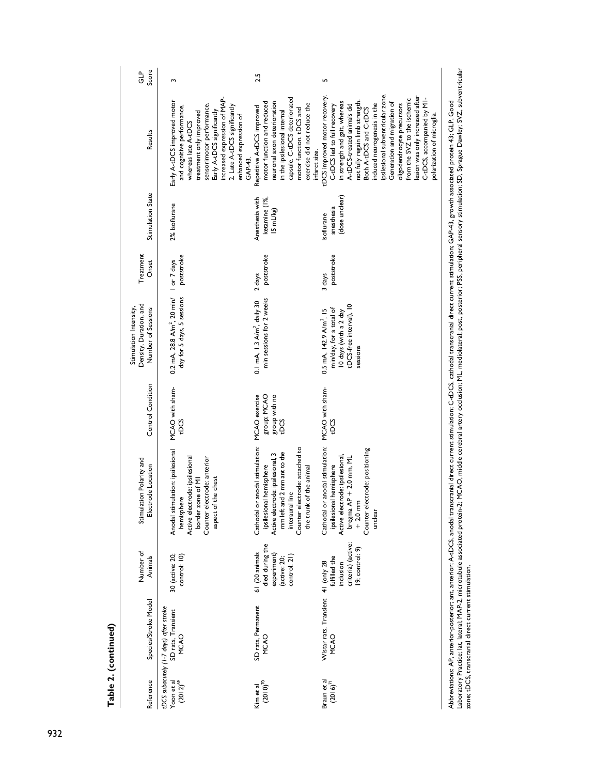| Anodal stimulation: ipsilesional<br>30 (active: 20;<br>control: 10)                                                                                                                                                                                                     |
|-------------------------------------------------------------------------------------------------------------------------------------------------------------------------------------------------------------------------------------------------------------------------|
| tDCS<br>Active electrode: ipsilesional<br>Counter electrode: anterior<br>aspect of the chest<br>border zone of MI<br>hemisphere                                                                                                                                         |
| MCAO exercise<br>group; MCAO<br>group with no<br>tDCS<br>Cathodal or anodal stimulation:<br>Counter electrode: attached to<br>mm left and 2 mm ant to the<br>Active electrode: ipsilesional, 3<br>ipsilesional hemisphere<br>the trunk of the animal<br>interaural line |
| MCAO with sham-<br>Cathodal or anodal stimulation:<br>Counter electrode: positioning<br>Active electrode: ipsilesional,<br>bregma $AP + 2.0$ mm, ML<br>ipsilesional hemisphere<br>$+2.0$ mm<br>unclear                                                                  |

rvorernavors.rv, and no-poseror, and anchor,rr-to-to, anous usual and the cerebral artery occlusion; ML, mediolateral; post, posterior; PSS, peripheral sensory stimulation; SD, Sprague Dawley; SVZ, subventicular<br>zone; tDC laboratory Practice; lat, lateral; MAP-2, microtubule associated protein-2; MCAO, middle cerebral artery occlusion; ML, mediolateral; post, post, posterior; PSS, peripheral sensory stimulation; SD, Sprague Dawley; SVZ, sub zone; tDCS, transcranial direct current stimulation.

**Table 2. (continued)**

Table 2. (continued)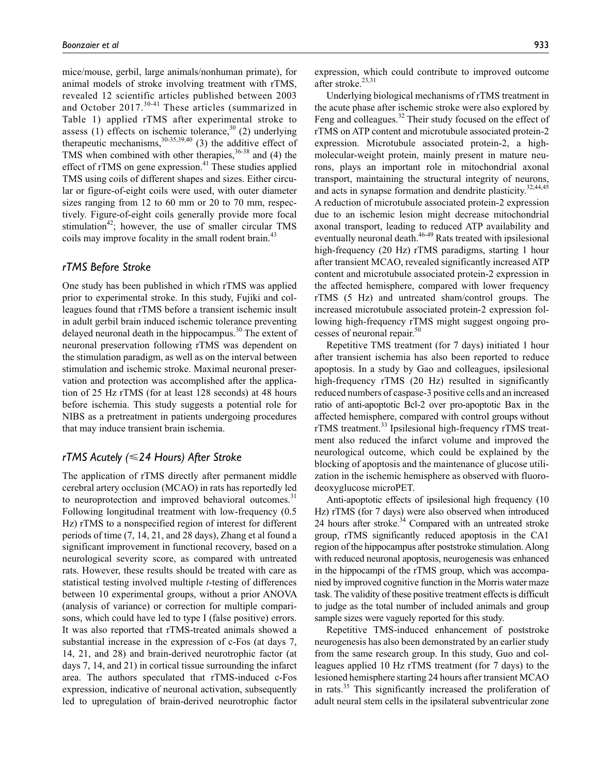mice/mouse, gerbil, large animals/nonhuman primate), for animal models of stroke involving treatment with rTMS, revealed 12 scientific articles published between 2003 and October 2017.<sup>30-41</sup> These articles (summarized in Table 1) applied rTMS after experimental stroke to assess (1) effects on ischemic tolerance,  $3^{30}$  (2) underlying therapeutic mechanisms,  $30-35,39,40$  (3) the additive effect of TMS when combined with other therapies,  $36-38$  and (4) the effect of rTMS on gene expression.<sup>41</sup> These studies applied TMS using coils of different shapes and sizes. Either circular or figure-of-eight coils were used, with outer diameter sizes ranging from 12 to 60 mm or 20 to 70 mm, respectively. Figure-of-eight coils generally provide more focal stimulation<sup>42</sup>; however, the use of smaller circular TMS coils may improve focality in the small rodent brain.<sup>43</sup>

#### *rTMS Before Stroke*

One study has been published in which rTMS was applied prior to experimental stroke. In this study, Fujiki and colleagues found that rTMS before a transient ischemic insult in adult gerbil brain induced ischemic tolerance preventing delayed neuronal death in the hippocampus.<sup>30</sup> The extent of neuronal preservation following rTMS was dependent on the stimulation paradigm, as well as on the interval between stimulation and ischemic stroke. Maximal neuronal preservation and protection was accomplished after the application of 25 Hz rTMS (for at least 128 seconds) at 48 hours before ischemia. This study suggests a potential role for NIBS as a pretreatment in patients undergoing procedures that may induce transient brain ischemia.

#### *rTMS Acutely (*⩽*24 Hours) After Stroke*

The application of rTMS directly after permanent middle cerebral artery occlusion (MCAO) in rats has reportedly led to neuroprotection and improved behavioral outcomes. $31$ Following longitudinal treatment with low-frequency (0.5 Hz) rTMS to a nonspecified region of interest for different periods of time (7, 14, 21, and 28 days), Zhang et al found a significant improvement in functional recovery, based on a neurological severity score, as compared with untreated rats. However, these results should be treated with care as statistical testing involved multiple *t*-testing of differences between 10 experimental groups, without a prior ANOVA (analysis of variance) or correction for multiple comparisons, which could have led to type I (false positive) errors. It was also reported that rTMS-treated animals showed a substantial increase in the expression of c-Fos (at days 7, 14, 21, and 28) and brain-derived neurotrophic factor (at days 7, 14, and 21) in cortical tissue surrounding the infarct area. The authors speculated that rTMS-induced c-Fos expression, indicative of neuronal activation, subsequently led to upregulation of brain-derived neurotrophic factor

expression, which could contribute to improved outcome after stroke.<sup>23,31</sup>

Underlying biological mechanisms of rTMS treatment in the acute phase after ischemic stroke were also explored by Feng and colleagues.<sup>32</sup> Their study focused on the effect of rTMS on ATP content and microtubule associated protein-2 expression. Microtubule associated protein-2, a highmolecular-weight protein, mainly present in mature neurons, plays an important role in mitochondrial axonal transport, maintaining the structural integrity of neurons, and acts in synapse formation and dendrite plasticity.<sup>32,44,45</sup> A reduction of microtubule associated protein-2 expression due to an ischemic lesion might decrease mitochondrial axonal transport, leading to reduced ATP availability and eventually neuronal death.<sup>46-49</sup> Rats treated with ipsilesional high-frequency (20 Hz) rTMS paradigms, starting 1 hour after transient MCAO, revealed significantly increased ATP content and microtubule associated protein-2 expression in the affected hemisphere, compared with lower frequency rTMS (5 Hz) and untreated sham/control groups. The increased microtubule associated protein-2 expression following high-frequency rTMS might suggest ongoing processes of neuronal repair. $50$ 

Repetitive TMS treatment (for 7 days) initiated 1 hour after transient ischemia has also been reported to reduce apoptosis. In a study by Gao and colleagues, ipsilesional high-frequency rTMS (20 Hz) resulted in significantly reduced numbers of caspase-3 positive cells and an increased ratio of anti-apoptotic Bcl-2 over pro-apoptotic Bax in the affected hemisphere, compared with control groups without rTMS treatment.<sup>33</sup> Ipsilesional high-frequency rTMS treatment also reduced the infarct volume and improved the neurological outcome, which could be explained by the blocking of apoptosis and the maintenance of glucose utilization in the ischemic hemisphere as observed with fluorodeoxyglucose microPET.

Anti-apoptotic effects of ipsilesional high frequency (10 Hz) rTMS (for 7 days) were also observed when introduced 24 hours after stroke.<sup>34</sup> Compared with an untreated stroke group, rTMS significantly reduced apoptosis in the CA1 region of the hippocampus after poststroke stimulation. Along with reduced neuronal apoptosis, neurogenesis was enhanced in the hippocampi of the rTMS group, which was accompanied by improved cognitive function in the Morris water maze task. The validity of these positive treatment effects is difficult to judge as the total number of included animals and group sample sizes were vaguely reported for this study.

Repetitive TMS-induced enhancement of poststroke neurogenesis has also been demonstrated by an earlier study from the same research group. In this study, Guo and colleagues applied 10 Hz rTMS treatment (for 7 days) to the lesioned hemisphere starting 24 hours after transient MCAO in rats.35 This significantly increased the proliferation of adult neural stem cells in the ipsilateral subventricular zone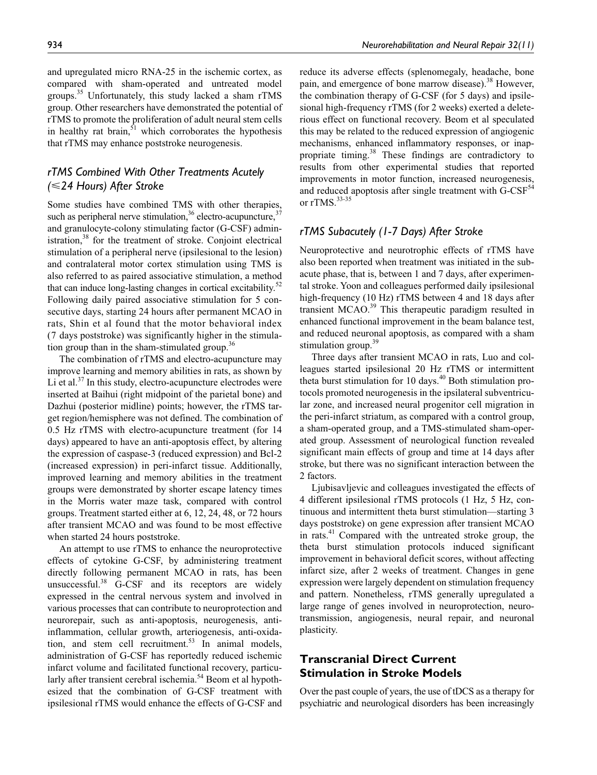and upregulated micro RNA-25 in the ischemic cortex, as compared with sham-operated and untreated model groups.<sup>35</sup> Unfortunately, this study lacked a sham rTMS group. Other researchers have demonstrated the potential of rTMS to promote the proliferation of adult neural stem cells in healthy rat brain, $51$  which corroborates the hypothesis that rTMS may enhance poststroke neurogenesis.

# *rTMS Combined With Other Treatments Acutely (*⩽*24 Hours) After Stroke*

Some studies have combined TMS with other therapies, such as peripheral nerve stimulation,  $36$  electro-acupuncture,  $37$ and granulocyte-colony stimulating factor (G-CSF) administration, $38$  for the treatment of stroke. Conjoint electrical stimulation of a peripheral nerve (ipsilesional to the lesion) and contralateral motor cortex stimulation using TMS is also referred to as paired associative stimulation, a method that can induce long-lasting changes in cortical excitability.<sup>52</sup> Following daily paired associative stimulation for 5 consecutive days, starting 24 hours after permanent MCAO in rats, Shin et al found that the motor behavioral index (7 days poststroke) was significantly higher in the stimulation group than in the sham-stimulated group.<sup>36</sup>

The combination of rTMS and electro-acupuncture may improve learning and memory abilities in rats, as shown by Li et al.<sup>37</sup> In this study, electro-acupuncture electrodes were inserted at Baihui (right midpoint of the parietal bone) and Dazhui (posterior midline) points; however, the rTMS target region/hemisphere was not defined. The combination of 0.5 Hz rTMS with electro-acupuncture treatment (for 14 days) appeared to have an anti-apoptosis effect, by altering the expression of caspase-3 (reduced expression) and Bcl-2 (increased expression) in peri-infarct tissue. Additionally, improved learning and memory abilities in the treatment groups were demonstrated by shorter escape latency times in the Morris water maze task, compared with control groups. Treatment started either at 6, 12, 24, 48, or 72 hours after transient MCAO and was found to be most effective when started 24 hours poststroke.

An attempt to use rTMS to enhance the neuroprotective effects of cytokine G-CSF, by administering treatment directly following permanent MCAO in rats, has been unsuccessful. $38$  G-CSF and its receptors are widely expressed in the central nervous system and involved in various processes that can contribute to neuroprotection and neurorepair, such as anti-apoptosis, neurogenesis, antiinflammation, cellular growth, arteriogenesis, anti-oxidation, and stem cell recruitment.<sup>53</sup> In animal models, administration of G-CSF has reportedly reduced ischemic infarct volume and facilitated functional recovery, particularly after transient cerebral ischemia.<sup>54</sup> Beom et al hypothesized that the combination of G-CSF treatment with ipsilesional rTMS would enhance the effects of G-CSF and

reduce its adverse effects (splenomegaly, headache, bone pain, and emergence of bone marrow disease).<sup>38</sup> However, the combination therapy of G-CSF (for 5 days) and ipsilesional high-frequency rTMS (for 2 weeks) exerted a deleterious effect on functional recovery. Beom et al speculated this may be related to the reduced expression of angiogenic mechanisms, enhanced inflammatory responses, or inappropriate timing.<sup>38</sup> These findings are contradictory to results from other experimental studies that reported improvements in motor function, increased neurogenesis, and reduced apoptosis after single treatment with  $G-CSF<sup>54</sup>$ or rTMS.<sup>33-35</sup>

## *rTMS Subacutely (1-7 Days) After Stroke*

Neuroprotective and neurotrophic effects of rTMS have also been reported when treatment was initiated in the subacute phase, that is, between 1 and 7 days, after experimental stroke. Yoon and colleagues performed daily ipsilesional high-frequency (10 Hz) rTMS between 4 and 18 days after transient MCAO.<sup>39</sup> This therapeutic paradigm resulted in enhanced functional improvement in the beam balance test, and reduced neuronal apoptosis, as compared with a sham stimulation group.<sup>39</sup>

Three days after transient MCAO in rats, Luo and colleagues started ipsilesional 20 Hz rTMS or intermittent theta burst stimulation for 10 days. $40$  Both stimulation protocols promoted neurogenesis in the ipsilateral subventricular zone, and increased neural progenitor cell migration in the peri-infarct striatum, as compared with a control group, a sham-operated group, and a TMS-stimulated sham-operated group. Assessment of neurological function revealed significant main effects of group and time at 14 days after stroke, but there was no significant interaction between the 2 factors.

Ljubisavljevic and colleagues investigated the effects of 4 different ipsilesional rTMS protocols (1 Hz, 5 Hz, continuous and intermittent theta burst stimulation—starting 3 days poststroke) on gene expression after transient MCAO in rats.<sup>41</sup> Compared with the untreated stroke group, the theta burst stimulation protocols induced significant improvement in behavioral deficit scores, without affecting infarct size, after 2 weeks of treatment. Changes in gene expression were largely dependent on stimulation frequency and pattern. Nonetheless, rTMS generally upregulated a large range of genes involved in neuroprotection, neurotransmission, angiogenesis, neural repair, and neuronal plasticity.

# **Transcranial Direct Current Stimulation in Stroke Models**

Over the past couple of years, the use of tDCS as a therapy for psychiatric and neurological disorders has been increasingly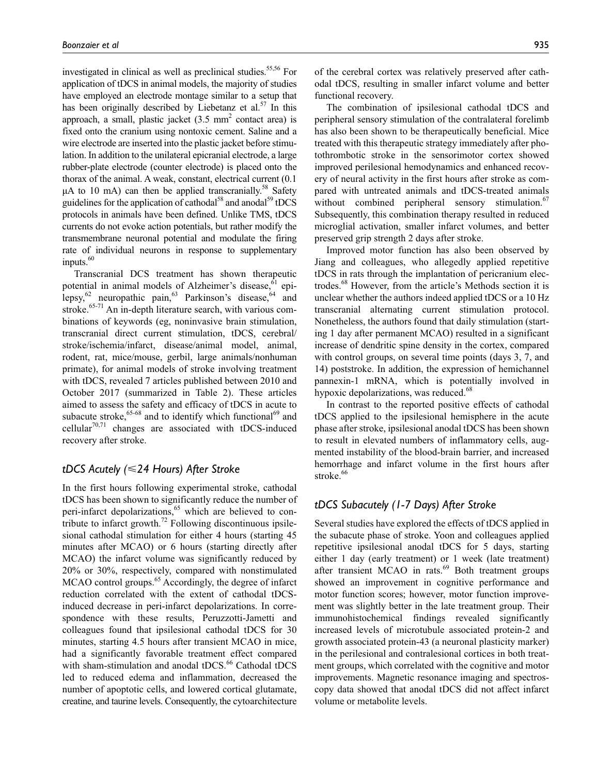investigated in clinical as well as preclinical studies.<sup>55,56</sup> For application of tDCS in animal models, the majority of studies have employed an electrode montage similar to a setup that has been originally described by Liebetanz et al.<sup>57</sup> In this approach, a small, plastic jacket  $(3.5 \text{ mm}^2 \text{ contact area})$  is fixed onto the cranium using nontoxic cement. Saline and a wire electrode are inserted into the plastic jacket before stimulation. In addition to the unilateral epicranial electrode, a large rubber-plate electrode (counter electrode) is placed onto the thorax of the animal. A weak, constant, electrical current (0.1  $\mu$ A to 10 mA) can then be applied transcranially.<sup>58</sup> Safety guidelines for the application of cathodal<sup>58</sup> and anodal<sup>59</sup> tDCS protocols in animals have been defined. Unlike TMS, tDCS currents do not evoke action potentials, but rather modify the transmembrane neuronal potential and modulate the firing rate of individual neurons in response to supplementary  $inputs.<sup>60</sup>$ 

Transcranial DCS treatment has shown therapeutic potential in animal models of Alzheimer's disease, <sup>61</sup> epilepsy, $62$  neuropathic pain, $63$  Parkinson's disease,  $64$  and stroke.<sup>65-71</sup> An in-depth literature search, with various combinations of keywords (eg, noninvasive brain stimulation, transcranial direct current stimulation, tDCS, cerebral/ stroke/ischemia/infarct, disease/animal model, animal, rodent, rat, mice/mouse, gerbil, large animals/nonhuman primate), for animal models of stroke involving treatment with tDCS, revealed 7 articles published between 2010 and October 2017 (summarized in Table 2). These articles aimed to assess the safety and efficacy of tDCS in acute to subacute stroke,<sup>65-68</sup> and to identify which functional<sup>69</sup> and cellular $70,71$  changes are associated with tDCS-induced recovery after stroke.

#### *tDCS Acutely (*⩽*24 Hours) After Stroke*

In the first hours following experimental stroke, cathodal tDCS has been shown to significantly reduce the number of peri-infarct depolarizations,<sup>65</sup> which are believed to contribute to infarct growth.<sup>72</sup> Following discontinuous ipsilesional cathodal stimulation for either 4 hours (starting 45 minutes after MCAO) or 6 hours (starting directly after MCAO) the infarct volume was significantly reduced by 20% or 30%, respectively, compared with nonstimulated MCAO control groups.<sup>65</sup> Accordingly, the degree of infarct reduction correlated with the extent of cathodal tDCSinduced decrease in peri-infarct depolarizations. In correspondence with these results, Peruzzotti-Jametti and colleagues found that ipsilesional cathodal tDCS for 30 minutes, starting 4.5 hours after transient MCAO in mice, had a significantly favorable treatment effect compared with sham-stimulation and anodal tDCS.<sup>66</sup> Cathodal tDCS led to reduced edema and inflammation, decreased the number of apoptotic cells, and lowered cortical glutamate, creatine, and taurine levels. Consequently, the cytoarchitecture

of the cerebral cortex was relatively preserved after cathodal tDCS, resulting in smaller infarct volume and better functional recovery.

The combination of ipsilesional cathodal tDCS and peripheral sensory stimulation of the contralateral forelimb has also been shown to be therapeutically beneficial. Mice treated with this therapeutic strategy immediately after photothrombotic stroke in the sensorimotor cortex showed improved perilesional hemodynamics and enhanced recovery of neural activity in the first hours after stroke as compared with untreated animals and tDCS-treated animals without combined peripheral sensory stimulation. $67$ Subsequently, this combination therapy resulted in reduced microglial activation, smaller infarct volumes, and better preserved grip strength 2 days after stroke.

Improved motor function has also been observed by Jiang and colleagues, who allegedly applied repetitive tDCS in rats through the implantation of pericranium electrodes.68 However, from the article's Methods section it is unclear whether the authors indeed applied tDCS or a 10 Hz transcranial alternating current stimulation protocol. Nonetheless, the authors found that daily stimulation (starting 1 day after permanent MCAO) resulted in a significant increase of dendritic spine density in the cortex, compared with control groups, on several time points (days 3, 7, and 14) poststroke. In addition, the expression of hemichannel pannexin-1 mRNA, which is potentially involved in hypoxic depolarizations, was reduced.<sup>68</sup>

In contrast to the reported positive effects of cathodal tDCS applied to the ipsilesional hemisphere in the acute phase after stroke, ipsilesional anodal tDCS has been shown to result in elevated numbers of inflammatory cells, augmented instability of the blood-brain barrier, and increased hemorrhage and infarct volume in the first hours after stroke.<sup>66</sup>

## *tDCS Subacutely (1-7 Days) After Stroke*

Several studies have explored the effects of tDCS applied in the subacute phase of stroke. Yoon and colleagues applied repetitive ipsilesional anodal tDCS for 5 days, starting either 1 day (early treatment) or 1 week (late treatment) after transient MCAO in rats. $69$  Both treatment groups showed an improvement in cognitive performance and motor function scores; however, motor function improvement was slightly better in the late treatment group. Their immunohistochemical findings revealed significantly increased levels of microtubule associated protein-2 and growth associated protein-43 (a neuronal plasticity marker) in the perilesional and contralesional cortices in both treatment groups, which correlated with the cognitive and motor improvements. Magnetic resonance imaging and spectroscopy data showed that anodal tDCS did not affect infarct volume or metabolite levels.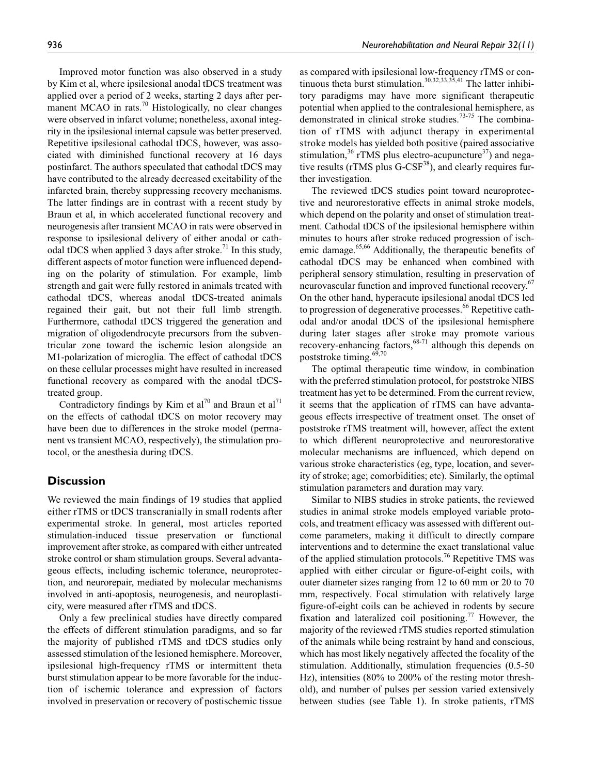Improved motor function was also observed in a study by Kim et al, where ipsilesional anodal tDCS treatment was applied over a period of 2 weeks, starting 2 days after permanent MCAO in rats.<sup>70</sup> Histologically, no clear changes were observed in infarct volume; nonetheless, axonal integrity in the ipsilesional internal capsule was better preserved. Repetitive ipsilesional cathodal tDCS, however, was associated with diminished functional recovery at 16 days postinfarct. The authors speculated that cathodal tDCS may have contributed to the already decreased excitability of the infarcted brain, thereby suppressing recovery mechanisms. The latter findings are in contrast with a recent study by Braun et al, in which accelerated functional recovery and neurogenesis after transient MCAO in rats were observed in response to ipsilesional delivery of either anodal or cathodal tDCS when applied 3 days after stroke.<sup>71</sup> In this study, different aspects of motor function were influenced depending on the polarity of stimulation. For example, limb strength and gait were fully restored in animals treated with cathodal tDCS, whereas anodal tDCS-treated animals regained their gait, but not their full limb strength. Furthermore, cathodal tDCS triggered the generation and migration of oligodendrocyte precursors from the subventricular zone toward the ischemic lesion alongside an M1-polarization of microglia. The effect of cathodal tDCS on these cellular processes might have resulted in increased functional recovery as compared with the anodal tDCStreated group.

Contradictory findings by Kim et al<sup>70</sup> and Braun et al<sup>71</sup> on the effects of cathodal tDCS on motor recovery may have been due to differences in the stroke model (permanent vs transient MCAO, respectively), the stimulation protocol, or the anesthesia during tDCS.

## **Discussion**

We reviewed the main findings of 19 studies that applied either rTMS or tDCS transcranially in small rodents after experimental stroke. In general, most articles reported stimulation-induced tissue preservation or functional improvement after stroke, as compared with either untreated stroke control or sham stimulation groups. Several advantageous effects, including ischemic tolerance, neuroprotection, and neurorepair, mediated by molecular mechanisms involved in anti-apoptosis, neurogenesis, and neuroplasticity, were measured after rTMS and tDCS.

Only a few preclinical studies have directly compared the effects of different stimulation paradigms, and so far the majority of published rTMS and tDCS studies only assessed stimulation of the lesioned hemisphere. Moreover, ipsilesional high-frequency rTMS or intermittent theta burst stimulation appear to be more favorable for the induction of ischemic tolerance and expression of factors involved in preservation or recovery of postischemic tissue

as compared with ipsilesional low-frequency rTMS or continuous theta burst stimulation.30,32,33,35,41 The latter inhibitory paradigms may have more significant therapeutic potential when applied to the contralesional hemisphere, as demonstrated in clinical stroke studies.<sup>73-75</sup> The combination of rTMS with adjunct therapy in experimental stroke models has yielded both positive (paired associative stimulation,  $36$  rTMS plus electro-acupuncture  $37$ ) and negative results ( $rTMS$  plus  $G-CSF<sup>38</sup>$ ), and clearly requires further investigation.

The reviewed tDCS studies point toward neuroprotective and neurorestorative effects in animal stroke models, which depend on the polarity and onset of stimulation treatment. Cathodal tDCS of the ipsilesional hemisphere within minutes to hours after stroke reduced progression of ischemic damage.<sup>65,66</sup> Additionally, the therapeutic benefits of cathodal tDCS may be enhanced when combined with peripheral sensory stimulation, resulting in preservation of neurovascular function and improved functional recovery.<sup>67</sup> On the other hand, hyperacute ipsilesional anodal tDCS led to progression of degenerative processes.<sup>66</sup> Repetitive cathodal and/or anodal tDCS of the ipsilesional hemisphere during later stages after stroke may promote various recovery-enhancing factors,<sup>68-71</sup> although this depends on poststroke timing. $69,70$ 

The optimal therapeutic time window, in combination with the preferred stimulation protocol, for poststroke NIBS treatment has yet to be determined. From the current review, it seems that the application of rTMS can have advantageous effects irrespective of treatment onset. The onset of poststroke rTMS treatment will, however, affect the extent to which different neuroprotective and neurorestorative molecular mechanisms are influenced, which depend on various stroke characteristics (eg, type, location, and severity of stroke; age; comorbidities; etc). Similarly, the optimal stimulation parameters and duration may vary.

Similar to NIBS studies in stroke patients, the reviewed studies in animal stroke models employed variable protocols, and treatment efficacy was assessed with different outcome parameters, making it difficult to directly compare interventions and to determine the exact translational value of the applied stimulation protocols.<sup>76</sup> Repetitive TMS was applied with either circular or figure-of-eight coils, with outer diameter sizes ranging from 12 to 60 mm or 20 to 70 mm, respectively. Focal stimulation with relatively large figure-of-eight coils can be achieved in rodents by secure fixation and lateralized coil positioning.<sup>77</sup> However, the majority of the reviewed rTMS studies reported stimulation of the animals while being restraint by hand and conscious, which has most likely negatively affected the focality of the stimulation. Additionally, stimulation frequencies (0.5-50 Hz), intensities (80% to 200% of the resting motor threshold), and number of pulses per session varied extensively between studies (see Table 1). In stroke patients, rTMS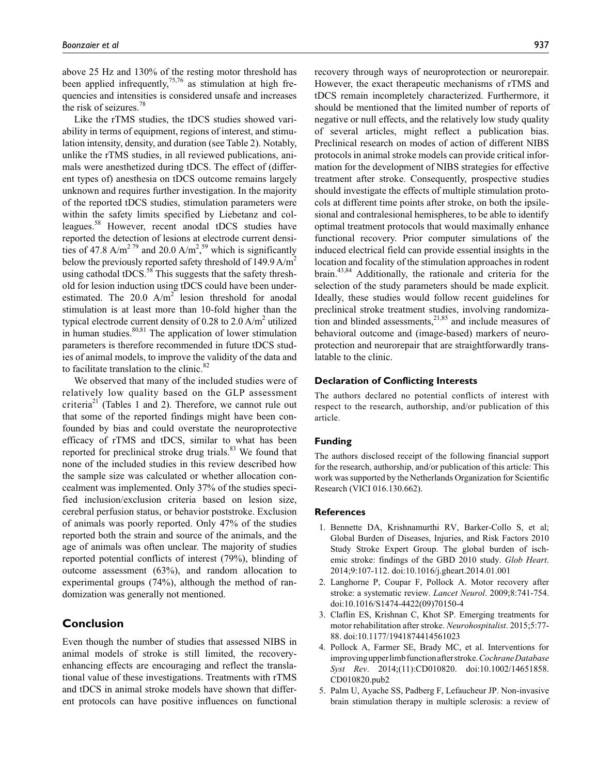above 25 Hz and 130% of the resting motor threshold has been applied infrequently,<sup>75,76</sup> as stimulation at high frequencies and intensities is considered unsafe and increases the risk of seizures.78

Like the rTMS studies, the tDCS studies showed variability in terms of equipment, regions of interest, and stimulation intensity, density, and duration (see Table 2). Notably, unlike the rTMS studies, in all reviewed publications, animals were anesthetized during tDCS. The effect of (different types of) anesthesia on tDCS outcome remains largely unknown and requires further investigation. In the majority of the reported tDCS studies, stimulation parameters were within the safety limits specified by Liebetanz and colleagues.58 However, recent anodal tDCS studies have reported the detection of lesions at electrode current densities of 47.8 A/m<sup>2 79</sup> and 20.0 A/m<sup>2</sup>,<sup>59</sup> which is significantly below the previously reported safety threshold of 149.9  $A/m^2$ using cathodal tDCS.<sup>58</sup> This suggests that the safety threshold for lesion induction using tDCS could have been underestimated. The  $20.0 \text{ A/m}^2$  lesion threshold for anodal stimulation is at least more than 10-fold higher than the typical electrode current density of 0.28 to 2.0  $A/m<sup>2</sup>$  utilized in human studies. $80,81$  The application of lower stimulation parameters is therefore recommended in future tDCS studies of animal models, to improve the validity of the data and to facilitate translation to the clinic.<sup>82</sup>

We observed that many of the included studies were of relatively low quality based on the GLP assessment criteria<sup>21</sup> (Tables 1 and 2). Therefore, we cannot rule out that some of the reported findings might have been confounded by bias and could overstate the neuroprotective efficacy of rTMS and tDCS, similar to what has been reported for preclinical stroke drug trials. $83$  We found that none of the included studies in this review described how the sample size was calculated or whether allocation concealment was implemented. Only 37% of the studies specified inclusion/exclusion criteria based on lesion size, cerebral perfusion status, or behavior poststroke. Exclusion of animals was poorly reported. Only 47% of the studies reported both the strain and source of the animals, and the age of animals was often unclear. The majority of studies reported potential conflicts of interest (79%), blinding of outcome assessment (63%), and random allocation to experimental groups (74%), although the method of randomization was generally not mentioned.

## **Conclusion**

Even though the number of studies that assessed NIBS in animal models of stroke is still limited, the recoveryenhancing effects are encouraging and reflect the translational value of these investigations. Treatments with rTMS and tDCS in animal stroke models have shown that different protocols can have positive influences on functional recovery through ways of neuroprotection or neurorepair. However, the exact therapeutic mechanisms of rTMS and tDCS remain incompletely characterized. Furthermore, it should be mentioned that the limited number of reports of negative or null effects, and the relatively low study quality of several articles, might reflect a publication bias. Preclinical research on modes of action of different NIBS protocols in animal stroke models can provide critical information for the development of NIBS strategies for effective treatment after stroke. Consequently, prospective studies should investigate the effects of multiple stimulation protocols at different time points after stroke, on both the ipsilesional and contralesional hemispheres, to be able to identify optimal treatment protocols that would maximally enhance functional recovery. Prior computer simulations of the induced electrical field can provide essential insights in the location and focality of the stimulation approaches in rodent brain.43,84 Additionally, the rationale and criteria for the selection of the study parameters should be made explicit. Ideally, these studies would follow recent guidelines for preclinical stroke treatment studies, involving randomization and blinded assessments, $2^{1,85}$  and include measures of behavioral outcome and (image-based) markers of neuroprotection and neurorepair that are straightforwardly translatable to the clinic.

#### **Declaration of Conflicting Interests**

The authors declared no potential conflicts of interest with respect to the research, authorship, and/or publication of this article.

#### **Funding**

The authors disclosed receipt of the following financial support for the research, authorship, and/or publication of this article: This work was supported by the Netherlands Organization for Scientific Research (VICI 016.130.662).

#### **References**

- 1. Bennette DA, Krishnamurthi RV, Barker-Collo S, et al; Global Burden of Diseases, Injuries, and Risk Factors 2010 Study Stroke Expert Group. The global burden of ischemic stroke: findings of the GBD 2010 study. *Glob Heart*. 2014;9:107-112. doi:10.1016/j.gheart.2014.01.001
- 2. Langhorne P, Coupar F, Pollock A. Motor recovery after stroke: a systematic review. *Lancet Neurol*. 2009;8:741-754. doi:10.1016/S1474-4422(09)70150-4
- 3. Claflin ES, Krishnan C, Khot SP. Emerging treatments for motor rehabilitation after stroke. *Neurohospitalist*. 2015;5:77- 88. doi:10.1177/1941874414561023
- 4. Pollock A, Farmer SE, Brady MC, et al. Interventions for improving upper limb function after stroke. *Cochrane Database Syst Rev*. 2014;(11):CD010820. doi:10.1002/14651858. CD010820.pub2
- 5. Palm U, Ayache SS, Padberg F, Lefaucheur JP. Non-invasive brain stimulation therapy in multiple sclerosis: a review of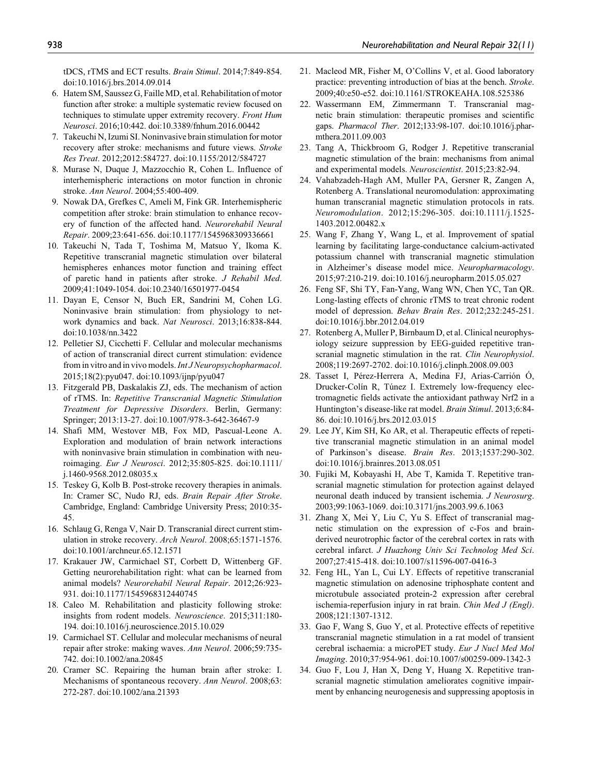tDCS, rTMS and ECT results. *Brain Stimul*. 2014;7:849-854. doi:10.1016/j.brs.2014.09.014

- 6. Hatem SM, Saussez G, Faille MD, et al. Rehabilitation of motor function after stroke: a multiple systematic review focused on techniques to stimulate upper extremity recovery. *Front Hum Neurosci*. 2016;10:442. doi:10.3389/fnhum.2016.00442
- 7. Takeuchi N, Izumi SI. Noninvasive brain stimulation for motor recovery after stroke: mechanisms and future views. *Stroke Res Treat*. 2012;2012:584727. doi:10.1155/2012/584727
- 8. Murase N, Duque J, Mazzocchio R, Cohen L. Influence of interhemispheric interactions on motor function in chronic stroke. *Ann Neurol*. 2004;55:400-409.
- 9. Nowak DA, Grefkes C, Ameli M, Fink GR. Interhemispheric competition after stroke: brain stimulation to enhance recovery of function of the affected hand. *Neurorehabil Neural Repair*. 2009;23:641-656. doi:10.1177/1545968309336661
- 10. Takeuchi N, Tada T, Toshima M, Matsuo Y, Ikoma K. Repetitive transcranial magnetic stimulation over bilateral hemispheres enhances motor function and training effect of paretic hand in patients after stroke. *J Rehabil Med*. 2009;41:1049-1054. doi:10.2340/16501977-0454
- 11. Dayan E, Censor N, Buch ER, Sandrini M, Cohen LG. Noninvasive brain stimulation: from physiology to network dynamics and back. *Nat Neurosci*. 2013;16:838-844. doi:10.1038/nn.3422
- 12. Pelletier SJ, Cicchetti F. Cellular and molecular mechanisms of action of transcranial direct current stimulation: evidence from in vitro and in vivo models. *Int J Neuropsychopharmacol*. 2015;18(2):pyu047. doi:10.1093/ijnp/pyu047
- 13. Fitzgerald PB, Daskalakis ZJ, eds. The mechanism of action of rTMS. In: *Repetitive Transcranial Magnetic Stimulation Treatment for Depressive Disorders*. Berlin, Germany: Springer; 2013:13-27. doi:10.1007/978-3-642-36467-9
- 14. Shafi MM, Westover MB, Fox MD, Pascual-Leone A. Exploration and modulation of brain network interactions with noninvasive brain stimulation in combination with neuroimaging. *Eur J Neurosci*. 2012;35:805-825. doi:10.1111/ j.1460-9568.2012.08035.x
- 15. Teskey G, Kolb B. Post-stroke recovery therapies in animals. In: Cramer SC, Nudo RJ, eds. *Brain Repair After Stroke*. Cambridge, England: Cambridge University Press; 2010:35- 45.
- 16. Schlaug G, Renga V, Nair D. Transcranial direct current stimulation in stroke recovery. *Arch Neurol*. 2008;65:1571-1576. doi:10.1001/archneur.65.12.1571
- 17. Krakauer JW, Carmichael ST, Corbett D, Wittenberg GF. Getting neurorehabilitation right: what can be learned from animal models? *Neurorehabil Neural Repair*. 2012;26:923- 931. doi:10.1177/1545968312440745
- 18. Caleo M. Rehabilitation and plasticity following stroke: insights from rodent models. *Neuroscience*. 2015;311:180- 194. doi:10.1016/j.neuroscience.2015.10.029
- 19. Carmichael ST. Cellular and molecular mechanisms of neural repair after stroke: making waves. *Ann Neurol*. 2006;59:735- 742. doi:10.1002/ana.20845
- 20. Cramer SC. Repairing the human brain after stroke: I. Mechanisms of spontaneous recovery. *Ann Neurol*. 2008;63: 272-287. doi:10.1002/ana.21393
- 21. Macleod MR, Fisher M, O'Collins V, et al. Good laboratory practice: preventing introduction of bias at the bench. *Stroke*. 2009;40:e50-e52. doi:10.1161/STROKEAHA.108.525386
- 22. Wassermann EM, Zimmermann T. Transcranial magnetic brain stimulation: therapeutic promises and scientific gaps. *Pharmacol Ther*. 2012;133:98-107. doi:10.1016/j.pharmthera.2011.09.003
- 23. Tang A, Thickbroom G, Rodger J. Repetitive transcranial magnetic stimulation of the brain: mechanisms from animal and experimental models. *Neuroscientist*. 2015;23:82-94.
- 24. Vahabzadeh-Hagh AM, Muller PA, Gersner R, Zangen A, Rotenberg A. Translational neuromodulation: approximating human transcranial magnetic stimulation protocols in rats. *Neuromodulation*. 2012;15:296-305. doi:10.1111/j.1525- 1403.2012.00482.x
- 25. Wang F, Zhang Y, Wang L, et al. Improvement of spatial learning by facilitating large-conductance calcium-activated potassium channel with transcranial magnetic stimulation in Alzheimer's disease model mice. *Neuropharmacology*. 2015;97:210-219. doi:10.1016/j.neuropharm.2015.05.027
- 26. Feng SF, Shi TY, Fan-Yang, Wang WN, Chen YC, Tan QR. Long-lasting effects of chronic rTMS to treat chronic rodent model of depression. *Behav Brain Res*. 2012;232:245-251. doi:10.1016/j.bbr.2012.04.019
- 27. Rotenberg A, Muller P, Birnbaum D, et al. Clinical neurophysiology seizure suppression by EEG-guided repetitive transcranial magnetic stimulation in the rat. *Clin Neurophysiol*. 2008;119:2697-2702. doi:10.1016/j.clinph.2008.09.003
- 28. Tasset I, Pérez-Herrera A, Medina FJ, Arias-Carrión Ó, Drucker-Colín R, Túnez I. Extremely low-frequency electromagnetic fields activate the antioxidant pathway Nrf2 in a Huntington's disease-like rat model. *Brain Stimul*. 2013;6:84- 86. doi:10.1016/j.brs.2012.03.015
- 29. Lee JY, Kim SH, Ko AR, et al. Therapeutic effects of repetitive transcranial magnetic stimulation in an animal model of Parkinson's disease. *Brain Res*. 2013;1537:290-302. doi:10.1016/j.brainres.2013.08.051
- 30. Fujiki M, Kobayashi H, Abe T, Kamida T. Repetitive transcranial magnetic stimulation for protection against delayed neuronal death induced by transient ischemia. *J Neurosurg*. 2003;99:1063-1069. doi:10.3171/jns.2003.99.6.1063
- 31. Zhang X, Mei Y, Liu C, Yu S. Effect of transcranial magnetic stimulation on the expression of c-Fos and brainderived neurotrophic factor of the cerebral cortex in rats with cerebral infarct. *J Huazhong Univ Sci Technolog Med Sci*. 2007;27:415-418. doi:10.1007/s11596-007-0416-3
- 32. Feng HL, Yan L, Cui LY. Effects of repetitive transcranial magnetic stimulation on adenosine triphosphate content and microtubule associated protein-2 expression after cerebral ischemia-reperfusion injury in rat brain. *Chin Med J (Engl)*. 2008;121:1307-1312.
- 33. Gao F, Wang S, Guo Y, et al. Protective effects of repetitive transcranial magnetic stimulation in a rat model of transient cerebral ischaemia: a microPET study. *Eur J Nucl Med Mol Imaging*. 2010;37:954-961. doi:10.1007/s00259-009-1342-3
- 34. Guo F, Lou J, Han X, Deng Y, Huang X. Repetitive transcranial magnetic stimulation ameliorates cognitive impairment by enhancing neurogenesis and suppressing apoptosis in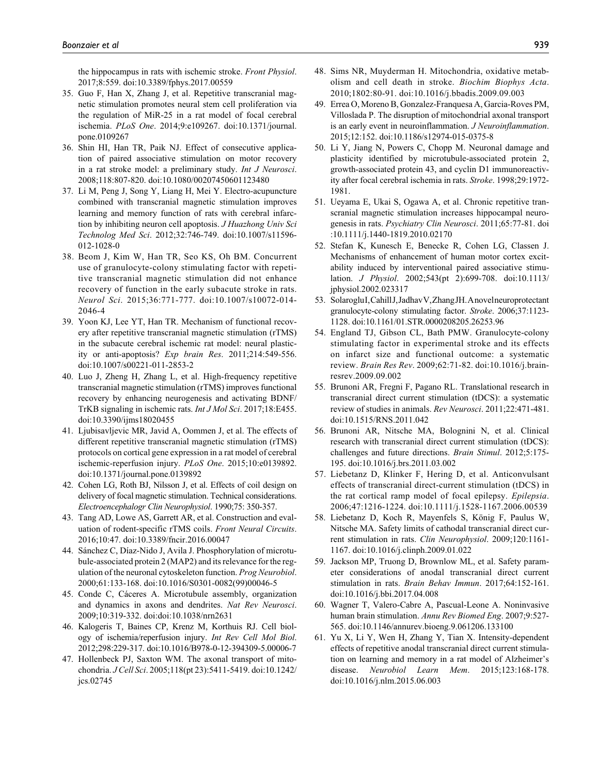the hippocampus in rats with ischemic stroke. *Front Physiol*. 2017;8:559. doi:10.3389/fphys.2017.00559

- 35. Guo F, Han X, Zhang J, et al. Repetitive transcranial magnetic stimulation promotes neural stem cell proliferation via the regulation of MiR-25 in a rat model of focal cerebral ischemia. *PLoS One*. 2014;9:e109267. doi:10.1371/journal. pone.0109267
- 36. Shin HI, Han TR, Paik NJ. Effect of consecutive application of paired associative stimulation on motor recovery in a rat stroke model: a preliminary study. *Int J Neurosci*. 2008;118:807-820. doi:10.1080/00207450601123480
- 37. Li M, Peng J, Song Y, Liang H, Mei Y. Electro-acupuncture combined with transcranial magnetic stimulation improves learning and memory function of rats with cerebral infarction by inhibiting neuron cell apoptosis. *J Huazhong Univ Sci Technolog Med Sci*. 2012;32:746-749. doi:10.1007/s11596- 012-1028-0
- 38. Beom J, Kim W, Han TR, Seo KS, Oh BM. Concurrent use of granulocyte-colony stimulating factor with repetitive transcranial magnetic stimulation did not enhance recovery of function in the early subacute stroke in rats. *Neurol Sci*. 2015;36:771-777. doi:10.1007/s10072-014- 2046-4
- 39. Yoon KJ, Lee YT, Han TR. Mechanism of functional recovery after repetitive transcranial magnetic stimulation (rTMS) in the subacute cerebral ischemic rat model: neural plasticity or anti-apoptosis? *Exp brain Res*. 2011;214:549-556. doi:10.1007/s00221-011-2853-2
- 40. Luo J, Zheng H, Zhang L, et al. High-frequency repetitive transcranial magnetic stimulation (rTMS) improves functional recovery by enhancing neurogenesis and activating BDNF/ TrKB signaling in ischemic rats. *Int J Mol Sci*. 2017;18:E455. doi:10.3390/ijms18020455
- 41. Ljubisavljevic MR, Javid A, Oommen J, et al. The effects of different repetitive transcranial magnetic stimulation (rTMS) protocols on cortical gene expression in a rat model of cerebral ischemic-reperfusion injury. *PLoS One*. 2015;10:e0139892. doi:10.1371/journal.pone.0139892
- 42. Cohen LG, Roth BJ, Nilsson J, et al. Effects of coil design on delivery of focal magnetic stimulation. Technical considerations. *Electroencephalogr Clin Neurophysiol*. 1990;75: 350-357.
- 43. Tang AD, Lowe AS, Garrett AR, et al. Construction and evaluation of rodent-specific rTMS coils. *Front Neural Circuits*. 2016;10:47. doi:10.3389/fncir.2016.00047
- 44. Sánchez C, Díaz-Nido J, Avila J. Phosphorylation of microtubule-associated protein 2 (MAP2) and its relevance for the regulation of the neuronal cytoskeleton function. *Prog Neurobiol*. 2000;61:133-168. doi:10.1016/S0301-0082(99)00046-5
- 45. Conde C, Cáceres A. Microtubule assembly, organization and dynamics in axons and dendrites. *Nat Rev Neurosci*. 2009;10:319-332. doi:doi:10.1038/nrn2631
- 46. Kalogeris T, Baines CP, Krenz M, Korthuis RJ. Cell biology of ischemia/reperfusion injury. *Int Rev Cell Mol Biol*. 2012;298:229-317. doi:10.1016/B978-0-12-394309-5.00006-7
- 47. Hollenbeck PJ, Saxton WM. The axonal transport of mitochondria. *J Cell Sci*. 2005;118(pt 23):5411-5419. doi:10.1242/ jcs.02745
- 48. Sims NR, Muyderman H. Mitochondria, oxidative metabolism and cell death in stroke. *Biochim Biophys Acta*. 2010;1802:80-91. doi:10.1016/j.bbadis.2009.09.003
- 49. Errea O, Moreno B, Gonzalez-Franquesa A, Garcia-Roves PM, Villoslada P. The disruption of mitochondrial axonal transport is an early event in neuroinflammation. *J Neuroinflammation*. 2015;12:152. doi:10.1186/s12974-015-0375-8
- 50. Li Y, Jiang N, Powers C, Chopp M. Neuronal damage and plasticity identified by microtubule-associated protein 2, growth-associated protein 43, and cyclin D1 immunoreactivity after focal cerebral ischemia in rats. *Stroke*. 1998;29:1972- 1981.
- 51. Ueyama E, Ukai S, Ogawa A, et al. Chronic repetitive transcranial magnetic stimulation increases hippocampal neurogenesis in rats. *Psychiatry Clin Neurosci*. 2011;65:77-81. doi :10.1111/j.1440-1819.2010.02170
- 52. Stefan K, Kunesch E, Benecke R, Cohen LG, Classen J. Mechanisms of enhancement of human motor cortex excitability induced by interventional paired associative stimulation. *J Physiol*. 2002;543(pt 2):699-708. doi:10.1113/ jphysiol.2002.023317
- 53. Solaroglu I, Cahill J, Jadhav V, Zhang JH. A novel neuroprotectant granulocyte-colony stimulating factor. *Stroke*. 2006;37:1123- 1128. doi:10.1161/01.STR.0000208205.26253.96
- 54. England TJ, Gibson CL, Bath PMW. Granulocyte-colony stimulating factor in experimental stroke and its effects on infarct size and functional outcome: a systematic review. *Brain Res Rev*. 2009;62:71-82. doi:10.1016/j.brainresrev.2009.09.002
- 55. Brunoni AR, Fregni F, Pagano RL. Translational research in transcranial direct current stimulation (tDCS): a systematic review of studies in animals. *Rev Neurosci*. 2011;22:471-481. doi:10.1515/RNS.2011.042
- 56. Brunoni AR, Nitsche MA, Bolognini N, et al. Clinical research with transcranial direct current stimulation (tDCS): challenges and future directions. *Brain Stimul*. 2012;5:175- 195. doi:10.1016/j.brs.2011.03.002
- 57. Liebetanz D, Klinker F, Hering D, et al. Anticonvulsant effects of transcranial direct-current stimulation (tDCS) in the rat cortical ramp model of focal epilepsy. *Epilepsia*. 2006;47:1216-1224. doi:10.1111/j.1528-1167.2006.00539
- 58. Liebetanz D, Koch R, Mayenfels S, König F, Paulus W, Nitsche MA. Safety limits of cathodal transcranial direct current stimulation in rats. *Clin Neurophysiol*. 2009;120:1161- 1167. doi:10.1016/j.clinph.2009.01.022
- 59. Jackson MP, Truong D, Brownlow ML, et al. Safety parameter considerations of anodal transcranial direct current stimulation in rats. *Brain Behav Immun*. 2017;64:152-161. doi:10.1016/j.bbi.2017.04.008
- 60. Wagner T, Valero-Cabre A, Pascual-Leone A. Noninvasive human brain stimulation. *Annu Rev Biomed Eng*. 2007;9:527- 565. doi:10.1146/annurev.bioeng.9.061206.133100
- 61. Yu X, Li Y, Wen H, Zhang Y, Tian X. Intensity-dependent effects of repetitive anodal transcranial direct current stimulation on learning and memory in a rat model of Alzheimer's disease. *Neurobiol Learn Mem*. 2015;123:168-178. doi:10.1016/j.nlm.2015.06.003